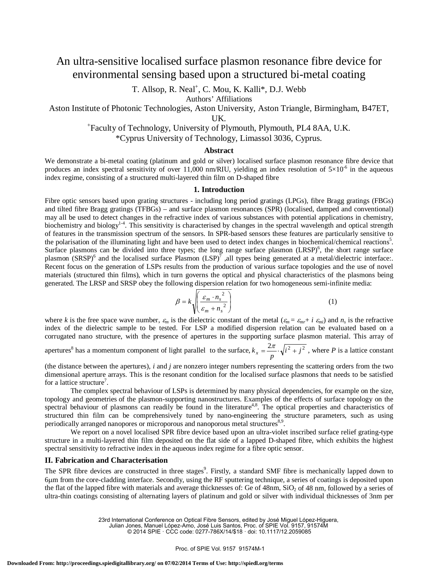# An ultra-sensitive localised surface plasmon resonance fibre device for environmental sensing based upon a structured bi-metal coating

T. Allsop, R. Neal<sup>+</sup>, C. Mou, K. Kalli<sup>\*</sup>, D.J. Webb

Authors' Affiliations

Aston Institute of Photonic Technologies, Aston University, Aston Triangle, Birmingham, B47ET,

UK.<br>Faculty of Technology, University of Plymouth, Plymouth, PL4 8AA, U.K.<sup>+</sup>

\*Cyprus University of Technology, Limassol 3036, Cyprus.

## **Abstract**

We demonstrate a bi-metal coating (platinum and gold or silver) localised surface plasmon resonance fibre device that produces an index spectral sensitivity of over 11,000 nm/RIU, yielding an index resolution of  $5\times10^{-6}$  in the aqueous index regime, consisting of a structured multi-layered thin film on D-shaped fibre

#### **1. Introduction**

Fibre optic sensors based upon grating structures - including long period gratings (LPGs), fibre Bragg gratings (FBGs) and tilted fibre Bragg gratings (TFBGs) – and surface plasmon resonances (SPR) (localised, damped and conventional) may all be used to detect changes in the refractive index of various substances with potential applications in chemistry, biochemistry and biology<sup>14</sup>. This sensitivity is characterised by changes in the spectral wavelength and optical strength of features in the transmission spectrum of the sensors. In SPR-based sensors these features are particularly sensitive to the polarisation of the illuminating light and have been used to detect index changes in biochemical/chemical reactions<sup>5</sup>. Surface plasmons can be divided into three types; the long range surface plasmon (LRSP)<sup>6</sup>, the short range surface plasmon  $(SRSP)^6$  and the localised surface Plasmon  $(LSP)^7$  ,all types being generated at a metal/dielectric interface:. Recent focus on the generation of LSPs results from the production of various surface topologies and the use of novel materials (structured thin films), which in turn governs the optical and physical characteristics of the plasmons being generated. The LRSP and SRSP obey the following dispersion relation for two homogeneous semi-infinite media:

$$
\beta = k \sqrt{\left(\frac{\varepsilon_m \cdot n_s^2}{\varepsilon_m + n_s^2}\right)}\tag{1}
$$

where *k* is the free space wave number,  $\varepsilon_m$  is the dielectric constant of the metal  $(\varepsilon_m = \varepsilon_{mr} + i \varepsilon_{mi})$  and  $n_s$  is the refractive index of the dielectric sample to be tested. For LSP a modified dispersion relation can be evaluated based on a corrugated nano structure, with the presence of apertures in the supporting surface plasmon material. This array of

apertures<sup>8</sup> has a momentum component of light parallel to the surface,  $k_x = \frac{2\pi}{p} \cdot \sqrt{i^2 + j^2}$ , where *P* is a lattice constant

(the distance between the apertures), *i* and *j* are nonzero integer numbers representing the scattering orders from the two dimensional aperture arrays. This is the resonant condition for the localised surface plasmons that needs to be satisfied for a lattice structure<sup>7</sup>.

The complex spectral behaviour of LSPs is determined by many physical dependencies, for example on the size, topology and geometries of the plasmon-supporting nanostructures. Examples of the effects of surface topology on the spectral behaviour of plasmons can readily be found in the literature<sup>4,8</sup>. The optical properties and characteristics of structured thin film can be comprehensively tuned by nano-engineering the structure parameters, such as using periodically arranged nanopores or microporous and nanoporous metal structures<sup>8,9</sup>.

We report on a novel localised SPR fibre device based upon an ultra-violet inscribed surface relief grating-type structure in a multi-layered thin film deposited on the flat side of a lapped D-shaped fibre, which exhibits the highest spectral sensitivity to refractive index in the aqueous index regime for a fibre optic sensor.

## **II. Fabrication and Characterisation**

The SPR fibre devices are constructed in three stages<sup>9</sup>. Firstly, a standard SMF fibre is mechanically lapped down to 6µm from the core-cladding interface. Secondly, using the RF sputtering technique, a series of coatings is deposited upon the flat of the lapped fibre with materials and average thicknesses of: Ge of  $48$ nm, SiO<sub>2</sub> of  $48$  nm, followed by a series of ultra-thin coatings consisting of alternating layers of platinum and gold or silver with individual thicknesses of 3nm per

23rd International Conference on Optical Fibre Sensors, edited by José Miguel López-Higuera,

Julian Jones, Manuel López-Amo, José Luis Santos, Proc. of SPIE Vol. 9157, 91574M

© 2014 SPIE · CCC code: 0277-786X/14/\$18 · doi: 10.1117/12.2059085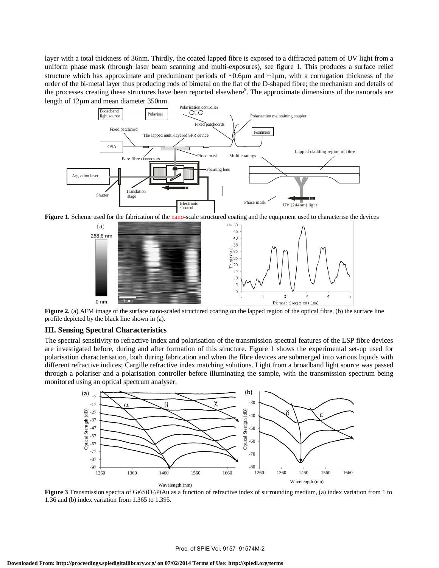layer with a total thickness of 36nm. Thirdly, the coated lapped fibre is exposed to a diffracted pattern of UV light from a uniform phase mask (through laser beam scanning and multi-exposures), see figure 1. This produces a surface relief structure which has approximate and predominant periods of  $\sim 0.6 \mu m$  and  $\sim 1 \mu m$ , with a corrugation thickness of the order of the bi-metal layer thus producing rods of bimetal on the flat of the D-shaped fibre; the mechanism and details of the processes creating these structures have been reported elsewhere<sup>9</sup>. The approximate dimensions of the nanorods are length of 12µm and mean diameter 350nm.



Figure 1. Scheme used for the fabrication of the nano-scale structured coating and the equipment used to characterise the devices



**Figure 2.** (a) AFM image of the surface nano-scaled structured coating on the lapped region of the optical fibre, (b) the surface line profile depicted by the black line shown in (a).

## **III. Sensing Spectral Characteristics**

The spectral sensitivity to refractive index and polarisation of the transmission spectral features of the LSP fibre devices are investigated before, during and after formation of this structure. Figure 1 shows the experimental set-up used for polarisation characterisation, both during fabrication and when the fibre devices are submerged into various liquids with different refractive indices; Cargille refractive index matching solutions. Light from a broadband light source was passed through a polariser and a polarisation controller before illuminating the sample, with the transmission spectrum being monitored using an optical spectrum analyser.



**Figure 3** Transmission spectra of Ge $\overline{SO_2\}$ PtAu as a function of refractive index of surrounding medium, (a) index variation from 1 to 1.36 and (b) index variation from 1.365 to 1.395.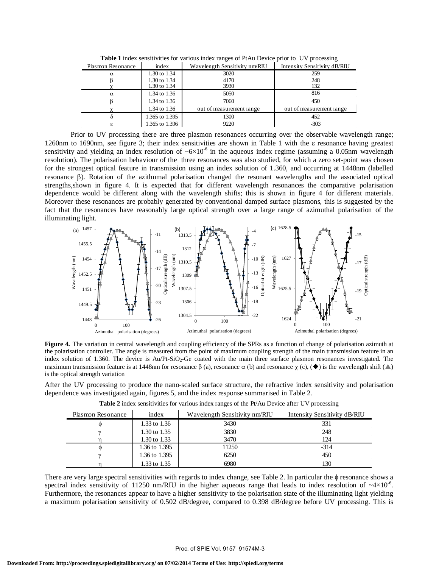| Plasmon Resonance | index          | Wavelength Sensitivity nm/RIU | Intensity Sensitivity dB/RIU |
|-------------------|----------------|-------------------------------|------------------------------|
| $\alpha$          | 1.30 to 1.34   | 3020                          | 259                          |
|                   | 1.30 to 1.34   | 4170                          | 248                          |
|                   | 1.30 to 1.34   | 3930                          | 132                          |
| $\alpha$          | 1.34 to 1.36   | 5050                          | 816                          |
|                   | 1.34 to 1.36   | 7060                          | 450                          |
|                   | 1.34 to 1.36   | out of measurement range      | out of measurement range     |
| δ                 | 1.365 to 1.395 | 1300                          | 452                          |
| ε                 | 1.365 to 1.396 | 9220                          | $-303$                       |

**Table 1** index sensitivities for various index ranges of PtAu Device prior to UV processing

Prior to UV processing there are three plasmon resonances occurring over the observable wavelength range; 1260nm to 1690nm, see figure 3; their index sensitivities are shown in Table 1 with the ε resonance having greatest sensitivity and yielding an index resolution of  $\sim 6 \times 10^{-6}$  in the aqueous index regime (assuming a 0.05nm wavelength resolution). The polarisation behaviour of the three resonances was also studied, for which a zero set-point was chosen for the strongest optical feature in transmission using an index solution of 1.360, and occurring at 1448nm (labelled resonance β). Rotation of the azithumal polarisation changed the resonant wavelengths and the associated optical strengths,shown in figure 4. It is expected that for different wavelength resonances the comparative polarisation dependence would be different along with the wavelength shifts; this is shown in figure 4 for different materials. Moreover these resonances are probably generated by conventional damped surface plasmons, this is suggested by the fact that the resonances have reasonably large optical strength over a large range of azimuthal polarisation of the illuminating light.



**Figure 4.** The variation in central wavelength and coupling efficiency of the SPRs as a function of change of polarisation azimuth at the polarisation controller. The angle is measured from the point of maximum coupling strength of the main transmission feature in an index solution of 1.360. The device is  $Au/Pt-SiO<sub>2</sub>-Ge$  coated with the main three surface plasmon resonances investigated. The maximum transmission feature is at 1448nm for resonance  $\beta$  (a), resonance  $\alpha$  (b) and resonance  $\chi$  (c), ( $\blacklozenge$ ) is the wavelength shift ( $\blacktriangle$ ) is the optical strength variation

After the UV processing to produce the nano-scaled surface structure, the refractive index sensitivity and polarisation dependence was investigated again, figures 5, and the index response summarised in Table 2.

| Plasmon Resonance | index         | Wavelength Sensitivity nm/RIU | Intensity Sensitivity dB/RIU |
|-------------------|---------------|-------------------------------|------------------------------|
| $\omega$          | 1.33 to 1.36  | 3430                          | 331                          |
|                   | 1.30 to 1.35  | 3830                          | 248                          |
|                   | 1.30 to 1.33  | 3470                          | 124                          |
| Ф                 | 1.36 to 1.395 | 11250                         | $-314$                       |
|                   | 1.36 to 1.395 | 6250                          | 450                          |
|                   | 1.33 to 1.35  | 6980                          | 130                          |

**Table 2** index sensitivities for various index ranges of the Pt/Au Device after UV processing

There are very large spectral sensitivities with regards to index change, see Table 2. In particular the φ resonance shows a spectral index sensitivity of 11250 nm/RIU in the higher aqueous range that leads to index resolution of  $\sim4\times10^{-6}$ . Furthermore, the resonances appear to have a higher sensitivity to the polarisation state of the illuminating light yielding a maximum polarisation sensitivity of 0.502 dB/degree, compared to 0.398 dB/degree before UV processing. This is